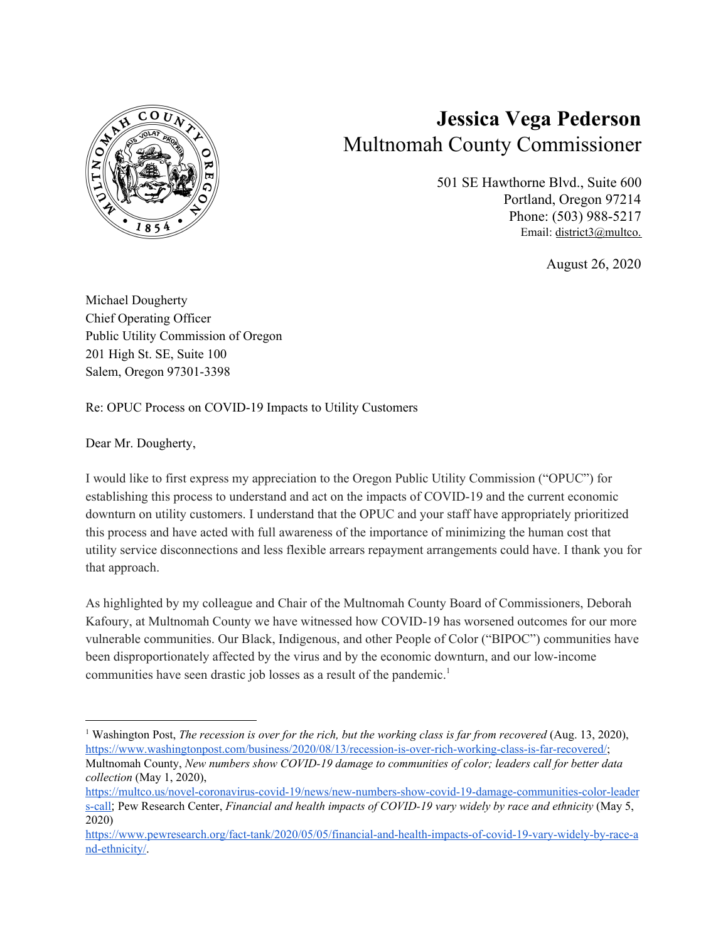

## **Jessica Vega Pederson** Multnomah County Commissioner

501 SE Hawthorne Blvd., Suite 600 Portland, Oregon 97214 Phone: (503) 988-5217 Email: [district3@multco.](mailto:district3@multco.us)

August 26, 2020

Michael Dougherty Chief Operating Officer Public Utility Commission of Oregon 201 High St. SE, Suite 100 Salem, Oregon 97301-3398

Re: OPUC Process on COVID-19 Impacts to Utility Customers

Dear Mr. Dougherty,

I would like to first express my appreciation to the Oregon Public Utility Commission ("OPUC") for establishing this process to understand and act on the impacts of COVID-19 and the current economic downturn on utility customers. I understand that the OPUC and your staff have appropriately prioritized this process and have acted with full awareness of the importance of minimizing the human cost that utility service disconnections and less flexible arrears repayment arrangements could have. I thank you for that approach.

As highlighted by my colleague and Chair of the Multnomah County Board of Commissioners, Deborah Kafoury, at Multnomah County we have witnessed how COVID-19 has worsened outcomes for our more vulnerable communities. Our Black, Indigenous, and other People of Color ("BIPOC") communities have been disproportionately affected by the virus and by the economic downturn, and our low-income communities have seen drastic job losses as a result of the pandemic. 1

<sup>1</sup> Washington Post, *The recession is over for the rich, but the working class is far from recovered* (Aug. 13, 2020), [https://www.washingtonpost.com/business/2020/08/13/recession-is-over-rich-working-class-is-far-recovered/;](https://www.washingtonpost.com/business/2020/08/13/recession-is-over-rich-working-class-is-far-recovered/) Multnomah County, *New numbers show COVID-19 damage to communities of color; leaders call for better data collection* (May 1, 2020),

[https://multco.us/novel-coronavirus-covid-19/news/new-numbers-show-covid-19-damage-communities-color-leader](https://multco.us/novel-coronavirus-covid-19/news/new-numbers-show-covid-19-damage-communities-color-leaders-call) [s-call](https://multco.us/novel-coronavirus-covid-19/news/new-numbers-show-covid-19-damage-communities-color-leaders-call); Pew Research Center, *Financial and health impacts of COVID-19 vary widely by race and ethnicity* (May 5, 2020)

[https://www.pewresearch.org/fact-tank/2020/05/05/financial-and-health-impacts-of-covid-19-vary-widely-by-race-a](https://www.pewresearch.org/fact-tank/2020/05/05/financial-and-health-impacts-of-covid-19-vary-widely-by-race-and-ethnicity/) [nd-ethnicity/](https://www.pewresearch.org/fact-tank/2020/05/05/financial-and-health-impacts-of-covid-19-vary-widely-by-race-and-ethnicity/).